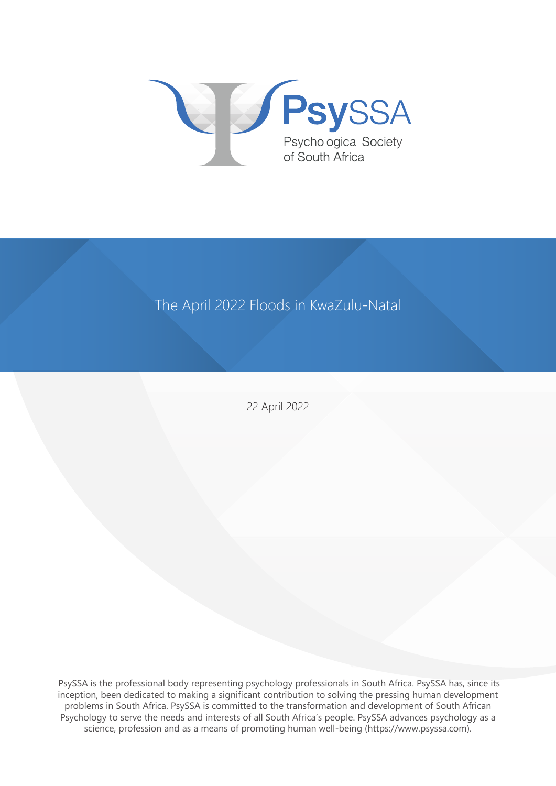

## The April 2022 Floods in KwaZulu-Natal

22 April 2022

 PsySSA is the professional body representing psychology professionals in South Africa. PsySSA has, since its inception, been dedicated to making a significant contribution to solving the pressing human development problems in South Africa. PsySSA is committed to the transformation and development of South African Psychology to serve the needs and interests of all South Africa's people. PsySSA advances psychology as a science, profession and as a means of promoting human well-being (https://www.psyssa.com).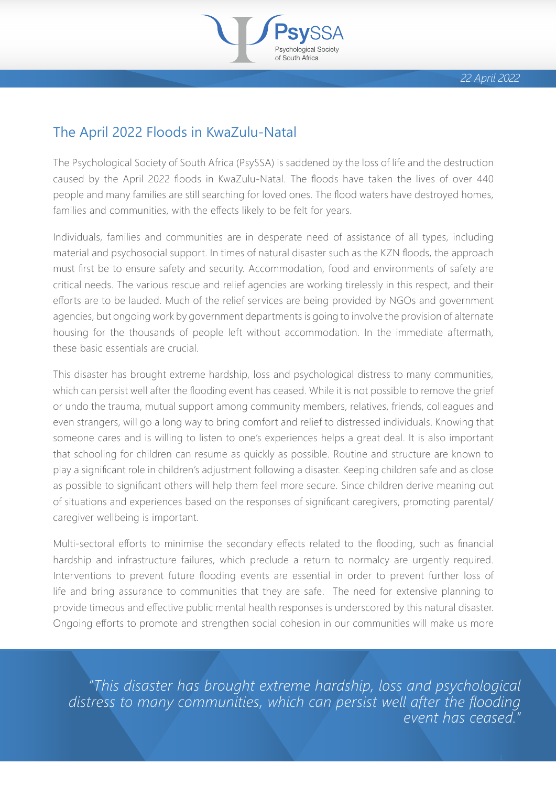

1

## The April 2022 Floods in KwaZulu-Natal

The Psychological Society of South Africa (PsySSA) is saddened by the loss of life and the destruction caused by the April 2022 floods in KwaZulu-Natal. The floods have taken the lives of over 440 people and many families are still searching for loved ones. The flood waters have destroyed homes, families and communities, with the effects likely to be felt for years.

Individuals, families and communities are in desperate need of assistance of all types, including material and psychosocial support. In times of natural disaster such as the KZN floods, the approach must first be to ensure safety and security. Accommodation, food and environments of safety are critical needs. The various rescue and relief agencies are working tirelessly in this respect, and their efforts are to be lauded. Much of the relief services are being provided by NGOs and government agencies, but ongoing work by government departments is going to involve the provision of alternate housing for the thousands of people left without accommodation. In the immediate aftermath, these basic essentials are crucial.

This disaster has brought extreme hardship, loss and psychological distress to many communities, which can persist well after the flooding event has ceased. While it is not possible to remove the grief or undo the trauma, mutual support among community members, relatives, friends, colleagues and even strangers, will go a long way to bring comfort and relief to distressed individuals. Knowing that someone cares and is willing to listen to one's experiences helps a great deal. It is also important that schooling for children can resume as quickly as possible. Routine and structure are known to play a significant role in children's adjustment following a disaster. Keeping children safe and as close as possible to significant others will help them feel more secure. Since children derive meaning out of situations and experiences based on the responses of significant caregivers, promoting parental/ caregiver wellbeing is important.

Multi-sectoral efforts to minimise the secondary effects related to the flooding, such as financial hardship and infrastructure failures, which preclude a return to normalcy are urgently required. Interventions to prevent future flooding events are essential in order to prevent further loss of life and bring assurance to communities that they are safe. The need for extensive planning to provide timeous and effective public mental health responses is underscored by this natural disaster. Ongoing efforts to promote and strengthen social cohesion in our communities will make us more

*"This disaster has brought extreme hardship, loss and psychological*  distress to many communities, which can persist well after the flooding *event has ceased."*